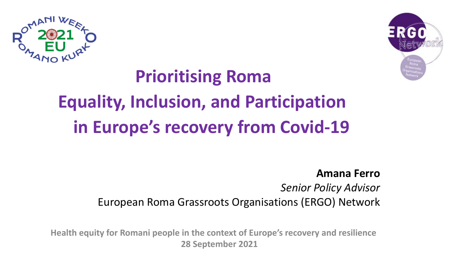



# **Prioritising Roma Equality, Inclusion, and Participation in Europe's recovery from Covid-19**

#### **Amana Ferro**

*Senior Policy Advisor* European Roma Grassroots Organisations (ERGO) Network

**Health equity for Romani people in the context of Europe's recovery and resilience 28 September 2021**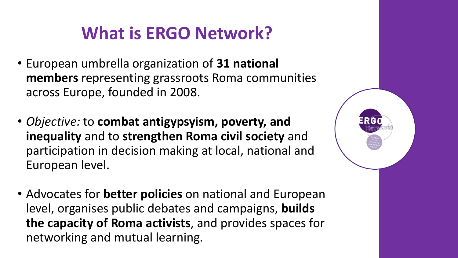## **What is ERGO Network?**

- European umbrella organization of **31 national members** representing grassroots Roma communities across Europe, founded in 2008.
- *Objective:* to **combat antigypsyism, poverty, and inequality** and to **strengthen Roma civil society** and participation in decision making at local, national and European level.
- Advocates for **better policies** on national and European level, organises public debates and campaigns, **builds the capacity of Roma activists**, and provides spaces for networking and mutual learning.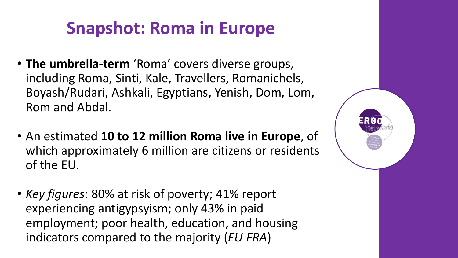### **Snapshot: Roma in Europe**

- **The umbrella-term** 'Roma' covers diverse groups, including Roma, Sinti, Kale, Travellers, Romanichels, Boyash/Rudari, Ashkali, Egyptians, Yenish, Dom, Lom, Rom and Abdal.
- An estimated **10 to 12 million Roma live in Europe**, of which approximately 6 million are citizens or residents of the EU.
- *Key figures*: 80% at risk of poverty; 41% report experiencing antigypsyism; only 43% in paid employment; poor health, education, and housing indicators compared to the majority (*EU FRA*)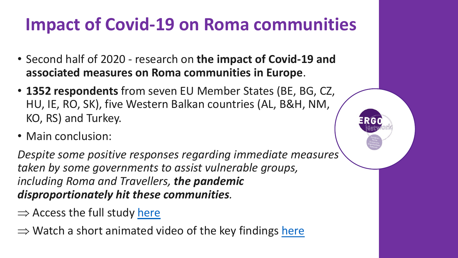# **Impact of Covid-19 on Roma comr**

- Second half of 2020 research on the impact of Covid **associated measures on Roma communities in Euro**
- 1352 respondents fro[m sev](https://ergonetwork.org/wp-content/uploads/2021/04/Ergo-covidstudy-final-web-double-v2.pdf)en EU Member States (BE HU, IE, RO, SK), five Western Balkan countries (AL, B8 KO, RS) and Turkey.
- Main conclusion:

**Despite some positive responses regarding immediate** *taken by some governments to assist vulnerable groups, including Roma and Travellers, the pandemic disproportionately hit these communities.* 

- $\Rightarrow$  Access the full study here
- $\Rightarrow$  Watch a short animated video of the key findings here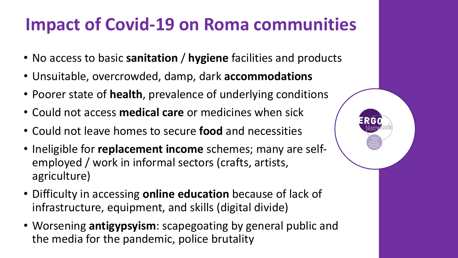## **Impact of Covid-19 on Roma communities**

- No access to basic **sanitation** / **hygiene** facilities and products
- Unsuitable, overcrowded, damp, dark **accommodations**
- Poorer state of **health**, prevalence of underlying conditions
- Could not access **medical care** or medicines when sick
- Could not leave homes to secure **food** and necessities
- Ineligible for **replacement income** schemes; many are selfemployed / work in informal sectors (crafts, artists, agriculture)
- Difficulty in accessing **online education** because of lack of infrastructure, equipment, and skills (digital divide)
- Worsening **antigypsyism**: scapegoating by general public and the media for the pandemic, police brutality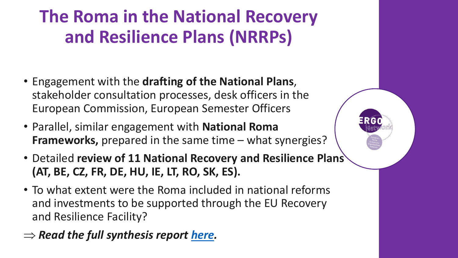- Engagement with the **drafting of the National Plans**, stakeholder consultation processes, desk officers in European Commission, Europe[an Sem](https://ergonetwork.org/wp-content/uploads/2021/09/ERGO-Network-Review-of-the-National-Recovery-and-Resilience-Plans-FINAL.pdf)ester Officers
- Parallel, similar engagement with **National Roma Frameworks,** prepared in the same time – what syn
- Detailed review of 11 National Recovery and Resilion **(AT, BE, CZ, FR, DE, HU, IE, LT, RO, SK, ES).**
- To what extent were the Roma included in national and investments to be supported through the EU Re and Resilience Facility?
- $\Rightarrow$  Read the full synthesis report <u>here.</u>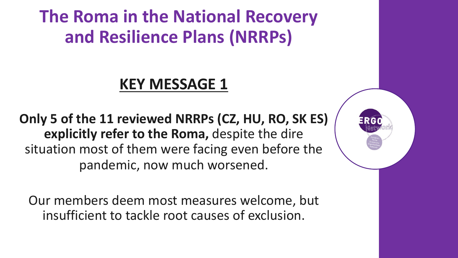### **KEY MESSAGE 1**

**Only 5 of the 11 reviewed NRRPs (CZ, HU, RO, SK ES) explicitly refer to the Roma,** despite the dire situation most of them were facing even before the pandemic, now much worsened.

Our members deem most measures welcome, but insufficient to tackle root causes of exclusion.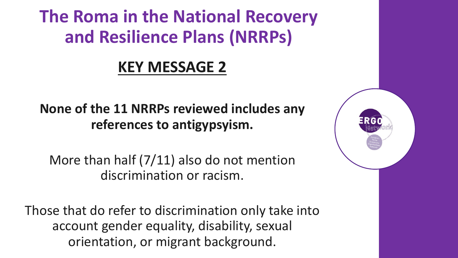### **KEY MESSAGE 2**

#### **None of the 11 NRRPs reviewed includes any references to antigypsyism.**

More than half (7/11) also do not mention discrimination or racism.

Those that do refer to discrimination only take into account gender equality, disability, sexual orientation, or migrant background.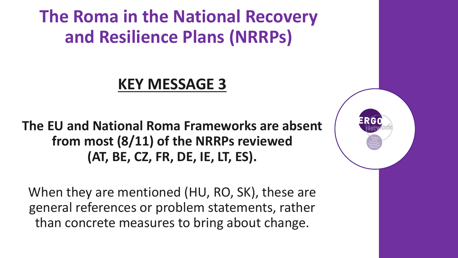#### **KEY MESSAGE 3**

**The EU and National Roma Frameworks are absent from most (8/11) of the NRRPs reviewed (AT, BE, CZ, FR, DE, IE, LT, ES).** 

When they are mentioned (HU, RO, SK), these are general references or problem statements, rather than concrete measures to bring about change.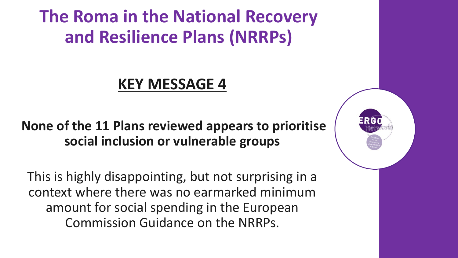#### **KEY MESSAGE 4**

**None of the 11 Plans reviewed appears to prioritise social inclusion or vulnerable groups** 

This is highly disappointing, but not surprising in a context where there was no earmarked minimum amount for social spending in the European Commission Guidance on the NRRPs.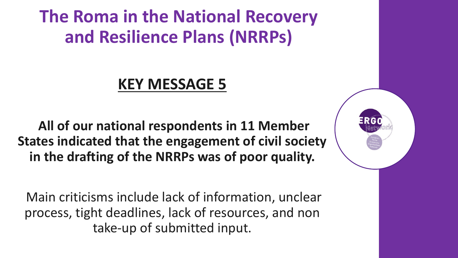#### **KEY MESSAGE 5**

**All of our national respondents in 11 Member States indicated that the engagement of civil society in the drafting of the NRRPs was of poor quality.**

Main criticisms include lack of information, unclear process, tight deadlines, lack of resources, and non take-up of submitted input.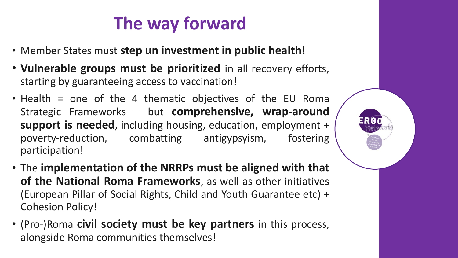# **The way forward**

- Member States must **step un investment in public health!**
- **Vulnerable groups must be prioritized** in all recovery efforts, starting by guaranteeing access to vaccination!
- Health = one of the 4 thematic objectives of the EU Roma Strategic Frameworks – but **comprehensive, wrap-around support is needed**, including housing, education, employment + poverty-reduction, combatting antigypsyism, fostering participation!
- The **implementation of the NRRPs must be aligned with that of the National Roma Frameworks**, as well as other initiatives (European Pillar of Social Rights, Child and Youth Guarantee etc) + Cohesion Policy!
- (Pro-)Roma **civil society must be key partners** in this process, alongside Roma communities themselves!